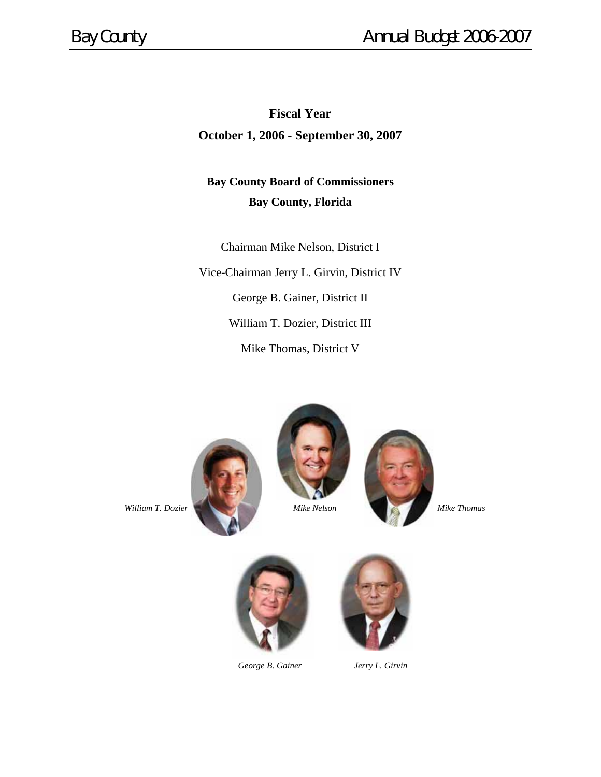# **Fiscal Year**

**October 1, 2006 - September 30, 2007** 

# **Bay County Board of Commissioners Bay County, Florida**

Chairman Mike Nelson, District I Vice-Chairman Jerry L. Girvin, District IV George B. Gainer, District II William T. Dozier, District III Mike Thomas, District V









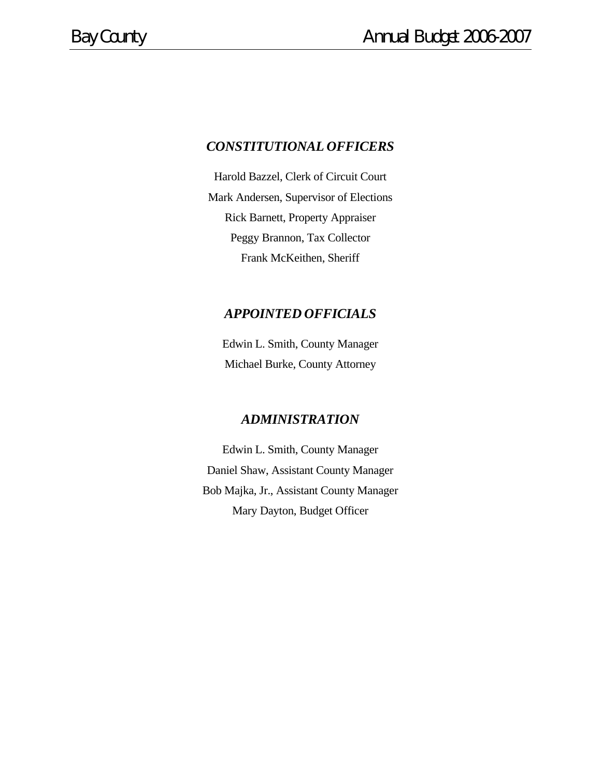## *CONSTITUTIONAL OFFICERS*

Harold Bazzel, Clerk of Circuit Court Mark Andersen, Supervisor of Elections Rick Barnett, Property Appraiser Peggy Brannon, Tax Collector Frank McKeithen, Sheriff

## *APPOINTED OFFICIALS*

Edwin L. Smith, County Manager Michael Burke, County Attorney

## *ADMINISTRATION*

Edwin L. Smith, County Manager Daniel Shaw, Assistant County Manager Bob Majka, Jr., Assistant County Manager Mary Dayton, Budget Officer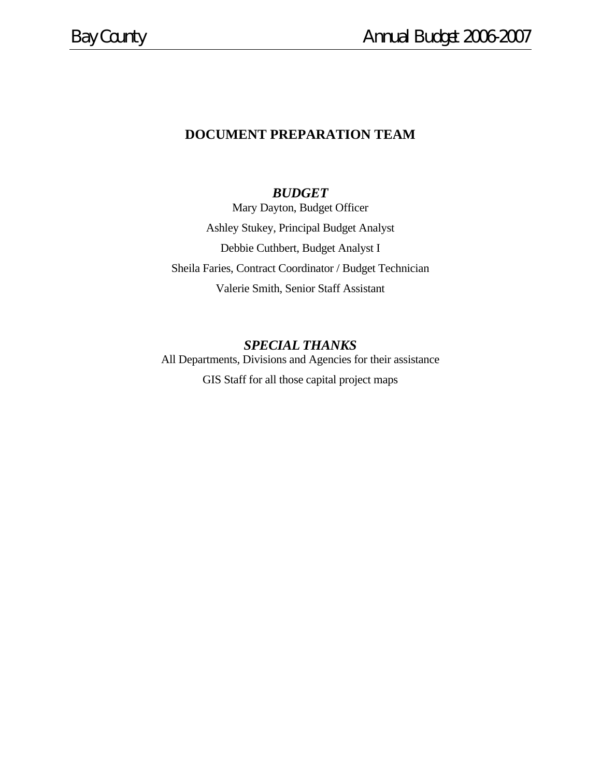# **DOCUMENT PREPARATION TEAM**

## *BUDGET*

Mary Dayton, Budget Officer Ashley Stukey, Principal Budget Analyst Debbie Cuthbert, Budget Analyst I Sheila Faries, Contract Coordinator / Budget Technician Valerie Smith, Senior Staff Assistant

## *SPECIAL THANKS*

All Departments, Divisions and Agencies for their assistance GIS Staff for all those capital project maps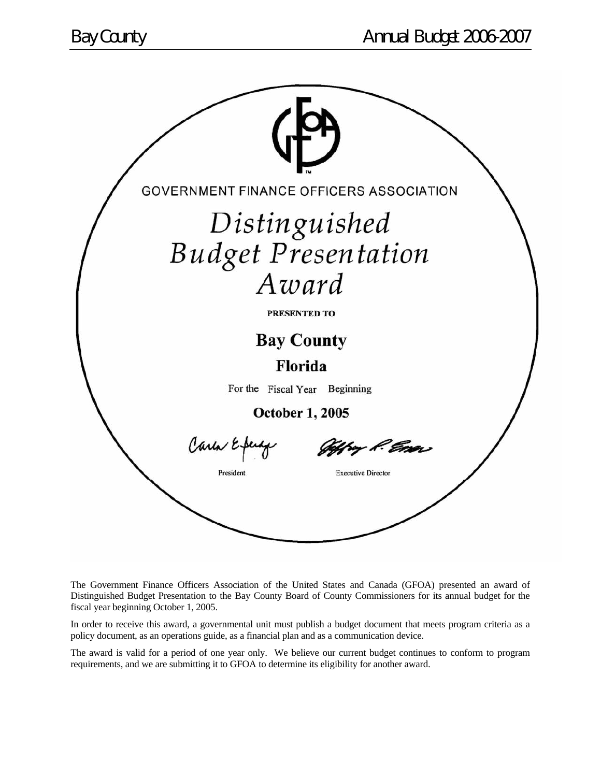

The Government Finance Officers Association of the United States and Canada (GFOA) presented an award of Distinguished Budget Presentation to the Bay County Board of County Commissioners for its annual budget for the fiscal year beginning October 1, 2005.

In order to receive this award, a governmental unit must publish a budget document that meets program criteria as a policy document, as an operations guide, as a financial plan and as a communication device.

The award is valid for a period of one year only. We believe our current budget continues to conform to program requirements, and we are submitting it to GFOA to determine its eligibility for another award.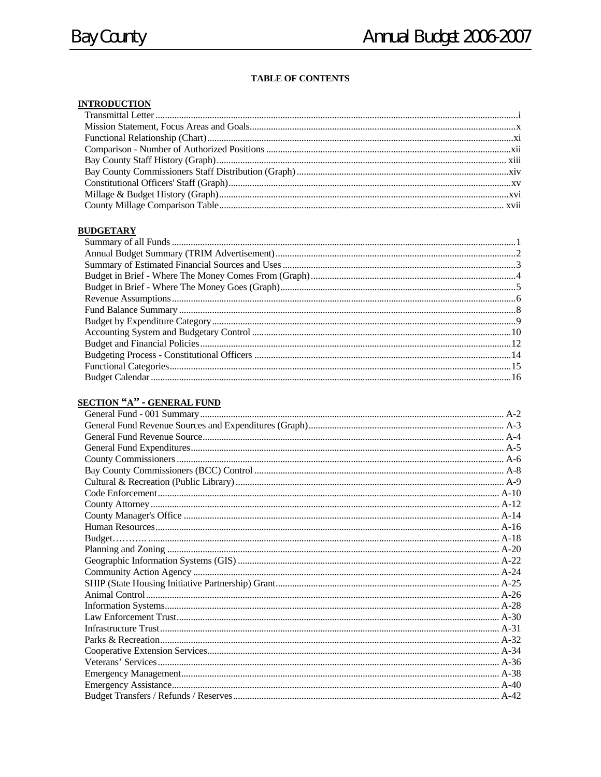### **INTRODUCTION**

#### **BUDGETARY**

## **SECTION "A" - GENERAL FUND**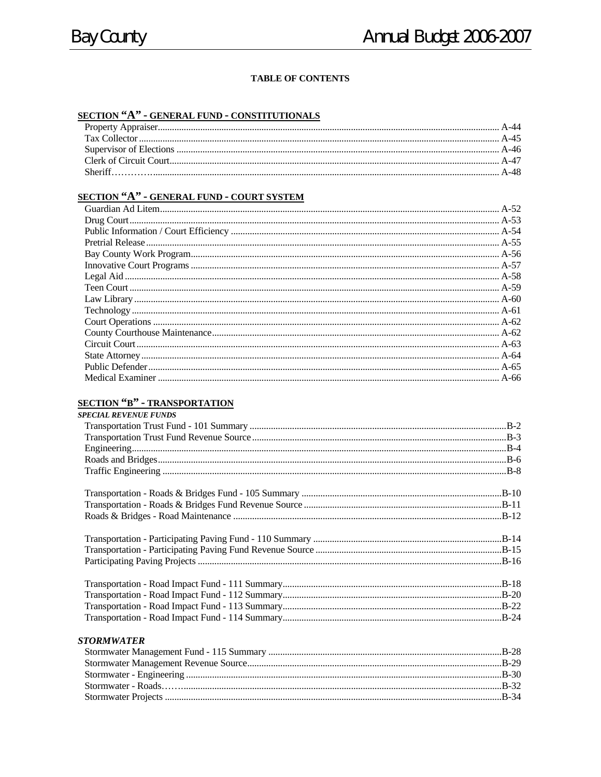### SECTION "A" - GENERAL FUND - CONSTITUTIONALS

# SECTION "A" - GENERAL FUND - COURT SYSTEM

## **SECTION "B" - TRANSPORTATION**

| <b>SPECIAL REVENUE FUNDS</b> |  |
|------------------------------|--|
|                              |  |
|                              |  |
|                              |  |
|                              |  |
|                              |  |
|                              |  |
|                              |  |
|                              |  |
|                              |  |
|                              |  |
|                              |  |
|                              |  |
|                              |  |
|                              |  |
|                              |  |

#### **STORMWATER**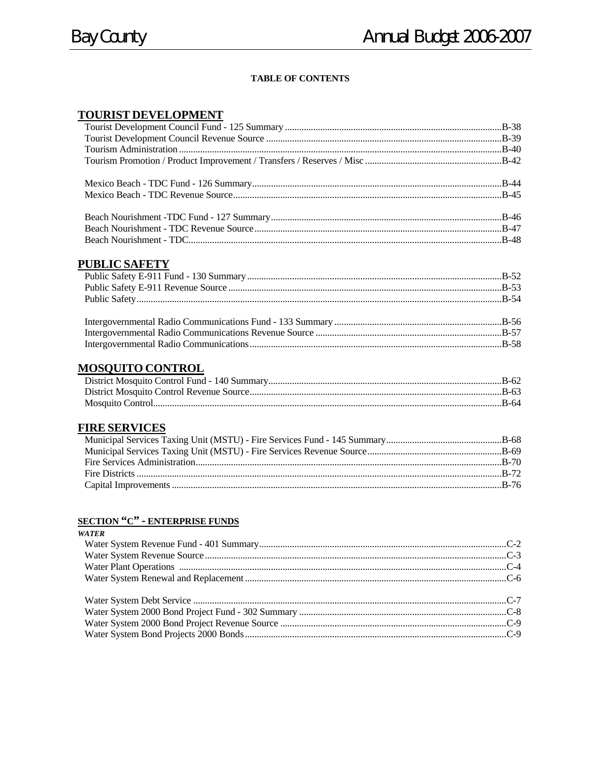### **TOURIST DEVELOPMENT**

### **PUBLIC SAFETY**

| $\mathbf{L}$ denotes the second $\mathbf{D}$ and $\mathbf{D}$ and $\mathbf{L}$ and $\mathbf{L}$ and $\mathbf{L}$ and $\mathbf{L}$ and $\mathbf{L}$ and $\mathbf{L}$ and $\mathbf{L}$ and $\mathbf{L}$ and $\mathbf{L}$ and $\mathbf{L}$ and $\mathbf{L}$ and $\mathbf{L}$ and $\mathbf{L}$ an | $E_{\rm C}$ |
|-----------------------------------------------------------------------------------------------------------------------------------------------------------------------------------------------------------------------------------------------------------------------------------------------|-------------|

## **MOSQUITO CONTROL**

| B-63 |  |
|------|--|
|      |  |

## **FIRE SERVICES**

### **SECTION "C" - ENTERPRISE FUNDS**

| WATER |  |
|-------|--|
|       |  |
|       |  |
|       |  |
|       |  |
|       |  |
|       |  |
|       |  |
|       |  |
|       |  |
|       |  |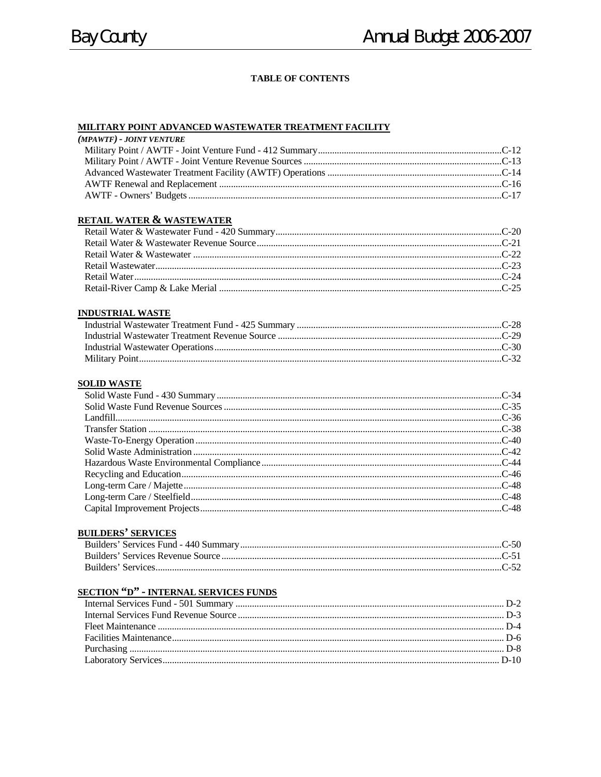#### MILITARY POINT ADVANCED WASTEWATER TREATMENT FACILITY

| (MPAWTF) - JOINT VENTURE |  |
|--------------------------|--|
|                          |  |
|                          |  |
|                          |  |
|                          |  |
|                          |  |
|                          |  |
|                          |  |

#### RETAIL WATER & WASTEWATER

#### **INDUSTRIAL WASTE**

#### **SOLID WASTE**

### **BUILDERS' SERVICES**

## **SECTION "D" - INTERNAL SERVICES FUNDS**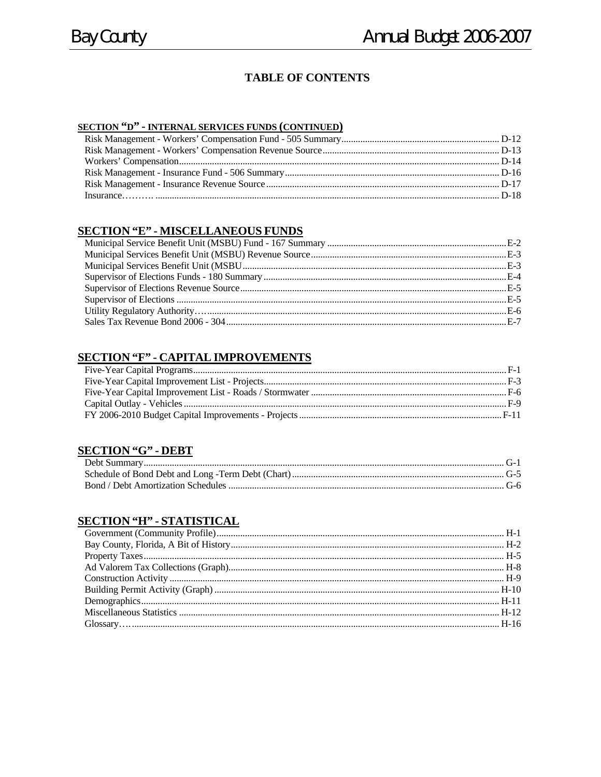### **SECTION "D" - INTERNAL SERVICES FUNDS (CONTINUED)**

#### **SECTION "E" - MISCELLANEOUS FUNDS**

### **SECTION "F" - CAPITAL IMPROVEMENTS**

### **SECTION "G" - DEBT**

### **SECTION "H" - STATISTICAL**